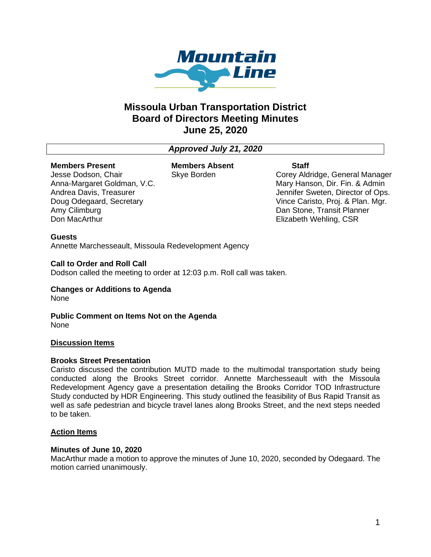

# **Missoula Urban Transportation District Board of Directors Meeting Minutes June 25, 2020**

## *Approved July 21, 2020*

#### **Members Present**

Jesse Dodson, Chair Anna-Margaret Goldman, V.C. Andrea Davis, Treasurer Doug Odegaard, Secretary Amy Cilimburg Don MacArthur

**Members Absent** Skye Borden

**Staff**

Corey Aldridge, General Manager Mary Hanson, Dir. Fin. & Admin Jennifer Sweten, Director of Ops. Vince Caristo, Proj. & Plan. Mgr. Dan Stone, Transit Planner Elizabeth Wehling, CSR

#### **Guests**

Annette Marchesseault, Missoula Redevelopment Agency

### **Call to Order and Roll Call**

Dodson called the meeting to order at 12:03 p.m. Roll call was taken.

#### **Changes or Additions to Agenda** None

**Public Comment on Items Not on the Agenda** None

#### **Discussion Items**

#### **Brooks Street Presentation**

Caristo discussed the contribution MUTD made to the multimodal transportation study being conducted along the Brooks Street corridor. Annette Marchesseault with the Missoula Redevelopment Agency gave a presentation detailing the Brooks Corridor TOD Infrastructure Study conducted by HDR Engineering. This study outlined the feasibility of Bus Rapid Transit as well as safe pedestrian and bicycle travel lanes along Brooks Street, and the next steps needed to be taken.

### **Action Items**

#### **Minutes of June 10, 2020**

MacArthur made a motion to approve the minutes of June 10, 2020, seconded by Odegaard. The motion carried unanimously.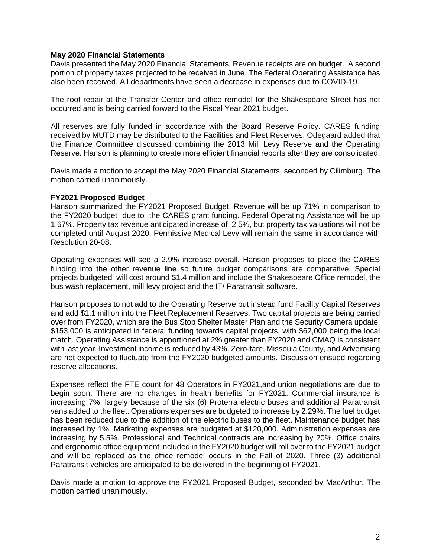#### **May 2020 Financial Statements**

Davis presented the May 2020 Financial Statements. Revenue receipts are on budget. A second portion of property taxes projected to be received in June. The Federal Operating Assistance has also been received. All departments have seen a decrease in expenses due to COVID-19.

The roof repair at the Transfer Center and office remodel for the Shakespeare Street has not occurred and is being carried forward to the Fiscal Year 2021 budget.

All reserves are fully funded in accordance with the Board Reserve Policy. CARES funding received by MUTD may be distributed to the Facilities and Fleet Reserves. Odegaard added that the Finance Committee discussed combining the 2013 Mill Levy Reserve and the Operating Reserve. Hanson is planning to create more efficient financial reports after they are consolidated.

Davis made a motion to accept the May 2020 Financial Statements, seconded by Cilimburg. The motion carried unanimously.

#### **FY2021 Proposed Budget**

Hanson summarized the FY2021 Proposed Budget. Revenue will be up 71% in comparison to the FY2020 budget due to the CARES grant funding. Federal Operating Assistance will be up 1.67%. Property tax revenue anticipated increase of 2.5%, but property tax valuations will not be completed until August 2020. Permissive Medical Levy will remain the same in accordance with Resolution 20-08.

Operating expenses will see a 2.9% increase overall. Hanson proposes to place the CARES funding into the other revenue line so future budget comparisons are comparative. Special projects budgeted will cost around \$1.4 million and include the Shakespeare Office remodel, the bus wash replacement, mill levy project and the IT/ Paratransit software.

Hanson proposes to not add to the Operating Reserve but instead fund Facility Capital Reserves and add \$1.1 million into the Fleet Replacement Reserves. Two capital projects are being carried over from FY2020, which are the Bus Stop Shelter Master Plan and the Security Camera update. \$153,000 is anticipated in federal funding towards capital projects, with \$62,000 being the local match. Operating Assistance is apportioned at 2% greater than FY2020 and CMAQ is consistent with last year. Investment income is reduced by 43%. Zero-fare, Missoula County, and Advertising are not expected to fluctuate from the FY2020 budgeted amounts. Discussion ensued regarding reserve allocations.

Expenses reflect the FTE count for 48 Operators in FY2021,and union negotiations are due to begin soon. There are no changes in health benefits for FY2021. Commercial insurance is increasing 7%, largely because of the six (6) Proterra electric buses and additional Paratransit vans added to the fleet. Operations expenses are budgeted to increase by 2.29%. The fuel budget has been reduced due to the addition of the electric buses to the fleet. Maintenance budget has increased by 1%. Marketing expenses are budgeted at \$120,000. Administration expenses are increasing by 5.5%. Professional and Technical contracts are increasing by 20%. Office chairs and ergonomic office equipment included in the FY2020 budget will roll over to the FY2021 budget and will be replaced as the office remodel occurs in the Fall of 2020. Three (3) additional Paratransit vehicles are anticipated to be delivered in the beginning of FY2021.

Davis made a motion to approve the FY2021 Proposed Budget, seconded by MacArthur. The motion carried unanimously.